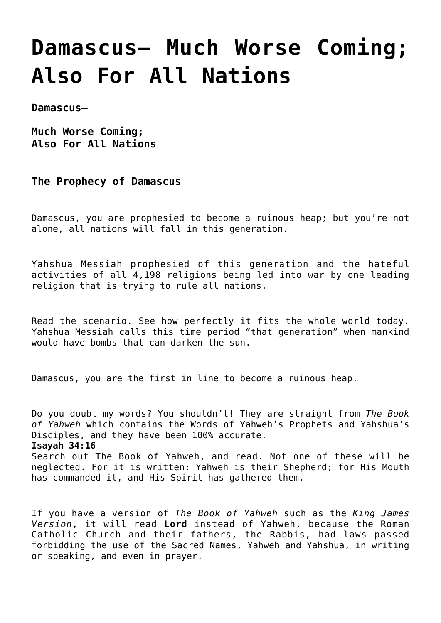# **[Damascus— Much Worse Coming;](https://yahwehsbranch.com/damascus-much-worse-coming-also-for-all-nations/) [Also For All Nations](https://yahwehsbranch.com/damascus-much-worse-coming-also-for-all-nations/)**

**Damascus—**

**Much Worse Coming; Also For All Nations**

**The Prophecy of Damascus**

Damascus, you are prophesied to become a ruinous heap; but you're not alone, all nations will fall in this generation.

Yahshua Messiah prophesied of this generation and the hateful activities of all 4,198 religions being led into war by one leading religion that is trying to rule all nations.

Read the scenario. See how perfectly it fits the whole world today. Yahshua Messiah calls this time period "that generation" when mankind would have bombs that can darken the sun.

Damascus, you are the first in line to become a ruinous heap.

Do you doubt my words? You shouldn't! They are straight from *The Book of Yahweh* which contains the Words of Yahweh's Prophets and Yahshua's Disciples, and they have been 100% accurate. **Isayah 34:16** Search out The Book of Yahweh, and read. Not one of these will be neglected. For it is written: Yahweh is their Shepherd; for His Mouth has commanded it, and His Spirit has gathered them.

If you have a version of *The Book of Yahweh* such as the *King James Version*, it will read **Lord** instead of Yahweh, because the Roman Catholic Church and their fathers, the Rabbis, had laws passed forbidding the use of the Sacred Names, Yahweh and Yahshua, in writing or speaking, and even in prayer.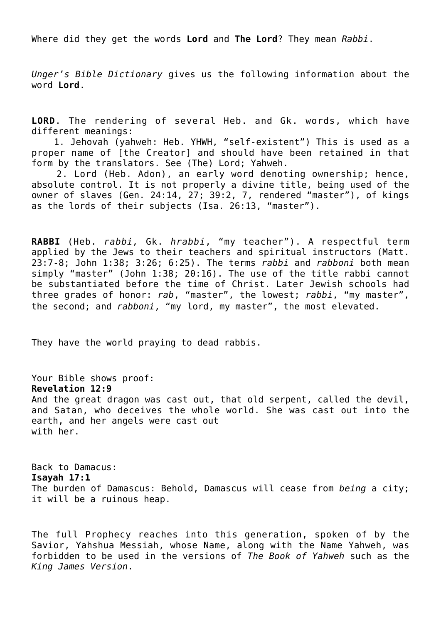Where did they get the words **Lord** and **The Lord**? They mean *Rabbi*.

*Unger's Bible Dictionary* gives us the following information about the word **Lord**.

**LORD**. The rendering of several Heb. and Gk. words, which have different meanings:

 1. Jehovah (yahweh: Heb. YHWH, "self-existent") This is used as a proper name of [the Creator] and should have been retained in that form by the translators. See (The) Lord; Yahweh.

 2. Lord (Heb. Adon), an early word denoting ownership; hence, absolute control. It is not properly a divine title, being used of the owner of slaves (Gen. 24:14, 27; 39:2, 7, rendered "master"), of kings as the lords of their subjects (Isa. 26:13, "master").

**RABBI** (Heb. *rabbi,* Gk. *hrabbi*, "my teacher"). A respectful term applied by the Jews to their teachers and spiritual instructors (Matt. 23:7-8; John 1:38; 3:26; 6:25). The terms *rabbi* and *rabboni* both mean simply "master" (John 1:38; 20:16). The use of the title rabbi cannot be substantiated before the time of Christ. Later Jewish schools had three grades of honor: *rab*, "master", the lowest; *rabbi*, "my master", the second; and *rabboni*, "my lord, my master", the most elevated.

They have the world praying to dead rabbis.

Your Bible shows proof: **Revelation 12:9** And the great dragon was cast out, that old serpent, called the devil, and Satan, who deceives the whole world. She was cast out into the earth, and her angels were cast out with her.

Back to Damacus: **Isayah 17:1** The burden of Damascus: Behold, Damascus will cease from *being* a city; it will be a ruinous heap.

The full Prophecy reaches into this generation, spoken of by the Savior, Yahshua Messiah, whose Name, along with the Name Yahweh, was forbidden to be used in the versions of *The Book of Yahweh* such as the *King James Version*.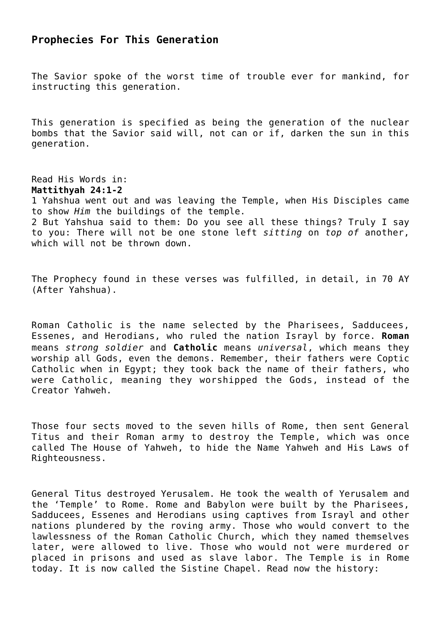# **Prophecies For This Generation**

The Savior spoke of the worst time of trouble ever for mankind, for instructing this generation.

This generation is specified as being the generation of the nuclear bombs that the Savior said will, not can or if, darken the sun in this generation.

Read His Words in: **Mattithyah 24:1-2** 1 Yahshua went out and was leaving the Temple, when His Disciples came to show *Him* the buildings of the temple. 2 But Yahshua said to them: Do you see all these things? Truly I say to you: There will not be one stone left *sitting* on *top of* another, which will not be thrown down.

The Prophecy found in these verses was fulfilled, in detail, in 70 AY (After Yahshua).

Roman Catholic is the name selected by the Pharisees, Sadducees, Essenes, and Herodians, who ruled the nation Israyl by force. **Roman** means *strong soldier* and **Catholic** means *universal*, which means they worship all Gods, even the demons. Remember, their fathers were Coptic Catholic when in Egypt; they took back the name of their fathers, who were Catholic, meaning they worshipped the Gods, instead of the Creator Yahweh.

Those four sects moved to the seven hills of Rome, then sent General Titus and their Roman army to destroy the Temple, which was once called The House of Yahweh, to hide the Name Yahweh and His Laws of Righteousness.

General Titus destroyed Yerusalem. He took the wealth of Yerusalem and the 'Temple' to Rome. Rome and Babylon were built by the Pharisees, Sadducees, Essenes and Herodians using captives from Israyl and other nations plundered by the roving army. Those who would convert to the lawlessness of the Roman Catholic Church, which they named themselves later, were allowed to live. Those who would not were murdered or placed in prisons and used as slave labor. The Temple is in Rome today. It is now called the Sistine Chapel. Read now the history: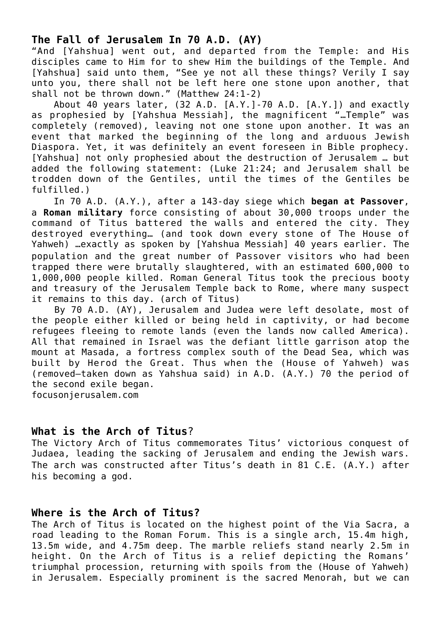# **The Fall of Jerusalem In 70 A.D. (AY)**

"And [Yahshua] went out, and departed from the Temple: and His disciples came to Him for to shew Him the buildings of the Temple. And [Yahshua] said unto them, "See ye not all these things? Verily I say unto you, there shall not be left here one stone upon another, that shall not be thrown down." (Matthew 24:1-2)

 About 40 years later, (32 A.D. [A.Y.]-70 A.D. [A.Y.]) and exactly as prophesied by [Yahshua Messiah], the magnificent "…Temple" was completely (removed), leaving not one stone upon another. It was an event that marked the beginning of the long and arduous Jewish Diaspora. Yet, it was definitely an event foreseen in Bible prophecy. [Yahshua] not only prophesied about the destruction of Jerusalem … but added the following statement: (Luke 21:24; and Jerusalem shall be trodden down of the Gentiles, until the times of the Gentiles be fulfilled.)

 In 70 A.D. (A.Y.), after a 143-day siege which **began at Passover**, a **Roman military** force consisting of about 30,000 troops under the command of Titus battered the walls and entered the city. They destroyed everything… (and took down every stone of The House of Yahweh) …exactly as spoken by [Yahshua Messiah] 40 years earlier. The population and the great number of Passover visitors who had been trapped there were brutally slaughtered, with an estimated 600,000 to 1,000,000 people killed. Roman General Titus took the precious booty and treasury of the Jerusalem Temple back to Rome, where many suspect it remains to this day. (arch of Titus)

 By 70 A.D. (AY), Jerusalem and Judea were left desolate, most of the people either killed or being held in captivity, or had become refugees fleeing to remote lands (even the lands now called America). All that remained in Israel was the defiant little garrison atop the mount at Masada, a fortress complex south of the Dead Sea, which was built by Herod the Great. Thus when the (House of Yahweh) was (removed–taken down as Yahshua said) in A.D. (A.Y.) 70 the period of the second exile began.

focusonjerusalem.com

## **What is the Arch of Titus**?

The Victory Arch of Titus commemorates Titus' victorious conquest of Judaea, leading the sacking of Jerusalem and ending the Jewish wars. The arch was constructed after Titus's death in 81 C.E. (A.Y.) after his becoming a god.

## **Where is the Arch of Titus?**

The Arch of Titus is located on the highest point of the Via Sacra, a road leading to the Roman Forum. This is a single arch, 15.4m high, 13.5m wide, and 4.75m deep. The marble reliefs stand nearly 2.5m in height. On the Arch of Titus is a relief depicting the Romans' triumphal procession, returning with spoils from the (House of Yahweh) in Jerusalem. Especially prominent is the sacred Menorah, but we can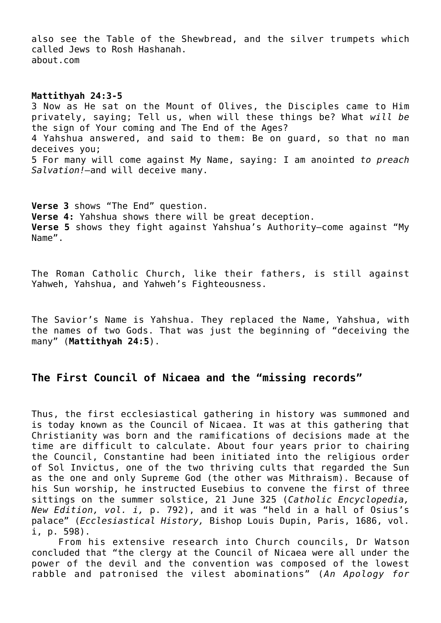also see the Table of the Shewbread, and the silver trumpets which called Jews to Rosh Hashanah. about.com

#### **Mattithyah 24:3-5**

3 Now as He sat on the Mount of Olives, the Disciples came to Him privately, saying; Tell us, when will these things be? What *will be* the sign of Your coming and The End of the Ages? 4 Yahshua answered, and said to them: Be on guard, so that no man deceives you; 5 For many will come against My Name, saying: I am anointed *to preach Salvation!—*and will deceive many.

**Verse 3** shows "The End" question. **Verse 4:** Yahshua shows there will be great deception. **Verse 5** shows they fight against Yahshua's Authority—come against "My Name".

The Roman Catholic Church, like their fathers, is still against Yahweh, Yahshua, and Yahweh's Fighteousness.

The Savior's Name is Yahshua. They replaced the Name, Yahshua, with the names of two Gods. That was just the beginning of "deceiving the many" (**Mattithyah 24:5**).

## **The First Council of Nicaea and the "missing records"**

Thus, the first ecclesiastical gathering in history was summoned and is today known as the Council of Nicaea. It was at this gathering that Christianity was born and the ramifications of decisions made at the time are difficult to calculate. About four years prior to chairing the Council, Constantine had been initiated into the religious order of Sol Invictus, one of the two thriving cults that regarded the Sun as the one and only Supreme God (the other was Mithraism). Because of his Sun worship, he instructed Eusebius to convene the first of three sittings on the summer solstice, 21 June 325 (*Catholic Encyclopedia, New Edition, vol. i,* p. 792), and it was "held in a hall of Osius's palace" (*Ecclesiastical History,* Bishop Louis Dupin, Paris, 1686, vol. i, p. 598).

 From his extensive research into Church councils, Dr Watson concluded that "the clergy at the Council of Nicaea were all under the power of the devil and the convention was composed of the lowest rabble and patronised the vilest abominations" (*An Apology for*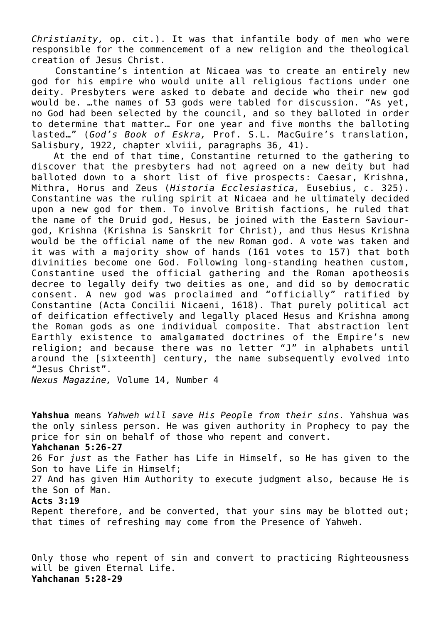*Christianity,* op. cit.). It was that infantile body of men who were responsible for the commencement of a new religion and the theological creation of Jesus Christ.

 Constantine's intention at Nicaea was to create an entirely new god for his empire who would unite all religious factions under one deity. Presbyters were asked to debate and decide who their new god would be. …the names of 53 gods were tabled for discussion. "As yet, no God had been selected by the council, and so they balloted in order to determine that matter… For one year and five months the balloting lasted…" (*God's Book of Eskra,* Prof. S.L. MacGuire's translation, Salisbury, 1922, chapter xlviii, paragraphs 36, 41).

 At the end of that time, Constantine returned to the gathering to discover that the presbyters had not agreed on a new deity but had balloted down to a short list of five prospects: Caesar, Krishna, Mithra, Horus and Zeus (*Historia Ecclesiastica,* Eusebius, c. 325). Constantine was the ruling spirit at Nicaea and he ultimately decided upon a new god for them. To involve British factions, he ruled that the name of the Druid god, Hesus, be joined with the Eastern Saviourgod, Krishna (Krishna is Sanskrit for Christ), and thus Hesus Krishna would be the official name of the new Roman god. A vote was taken and it was with a majority show of hands (161 votes to 157) that both divinities become one God. Following long-standing heathen custom, Constantine used the official gathering and the Roman apotheosis decree to legally deify two deities as one, and did so by democratic consent. A new god was proclaimed and "officially" ratified by Constantine (Acta Concilii Nicaeni, 1618). That purely political act of deification effectively and legally placed Hesus and Krishna among the Roman gods as one individual composite. That abstraction lent Earthly existence to amalgamated doctrines of the Empire's new religion; and because there was no letter "J" in alphabets until around the [sixteenth] century, the name subsequently evolved into "Jesus Christ".

*Nexus Magazine,* Volume 14, Number 4

**Yahshua** means *Yahweh will save His People from their sins.* Yahshua was the only sinless person. He was given authority in Prophecy to pay the price for sin on behalf of those who repent and convert. **Yahchanan 5:26-27** 26 For *just* as the Father has Life in Himself, so He has given to the Son to have Life in Himself; 27 And has given Him Authority to execute judgment also, because He is the Son of Man. **Acts 3:19** Repent therefore, and be converted, that your sins may be blotted out; that times of refreshing may come from the Presence of Yahweh.

Only those who repent of sin and convert to practicing Righteousness will be given Eternal Life. **Yahchanan 5:28-29**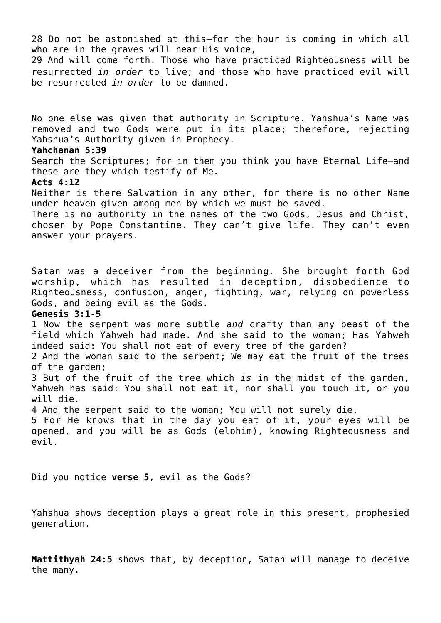28 Do not be astonished at this—for the hour is coming in which all who are in the graves will hear His voice, 29 And will come forth. Those who have practiced Righteousness will be resurrected *in order* to live; and those who have practiced evil will be resurrected *in order* to be damned. No one else was given that authority in Scripture. Yahshua's Name was removed and two Gods were put in its place; therefore, rejecting Yahshua's Authority given in Prophecy. **Yahchanan 5:39** Search the Scriptures; for in them you think you have Eternal Life—and these are they which testify of Me. **Acts 4:12** Neither is there Salvation in any other, for there is no other Name under heaven given among men by which we must be saved. There is no authority in the names of the two Gods, Jesus and Christ, chosen by Pope Constantine. They can't give life. They can't even answer your prayers. Satan was a deceiver from the beginning. She brought forth God worship, which has resulted in deception, disobedience to Righteousness, confusion, anger, fighting, war, relying on powerless Gods, and being evil as the Gods. **Genesis 3:1-5** 1 Now the serpent was more subtle *and* crafty than any beast of the field which Yahweh had made. And she said to the woman; Has Yahweh indeed said: You shall not eat of every tree of the garden? 2 And the woman said to the serpent; We may eat the fruit of the trees of the garden; 3 But of the fruit of the tree which *is* in the midst of the garden, Yahweh has said: You shall not eat it, nor shall you touch it, or you will die. 4 And the serpent said to the woman; You will not surely die. 5 For He knows that in the day you eat of it, your eyes will be opened, and you will be as Gods (elohim), knowing Righteousness and evil. Did you notice **verse 5**, evil as the Gods? Yahshua shows deception plays a great role in this present, prophesied

**Mattithyah 24:5** shows that, by deception, Satan will manage to deceive the many.

generation.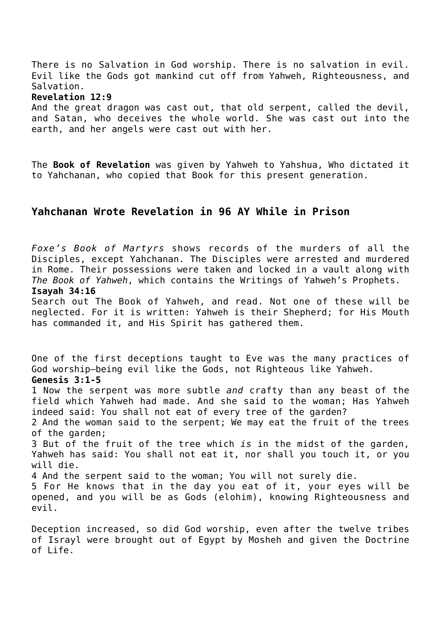There is no Salvation in God worship. There is no salvation in evil. Evil like the Gods got mankind cut off from Yahweh, Righteousness, and Salvation.

#### **Revelation 12:9**

And the great dragon was cast out, that old serpent, called the devil, and Satan, who deceives the whole world. She was cast out into the earth, and her angels were cast out with her.

The **Book of Revelation** was given by Yahweh to Yahshua, Who dictated it to Yahchanan, who copied that Book for this present generation.

## **Yahchanan Wrote Revelation in 96 AY While in Prison**

*Foxe's Book of Martyrs* shows records of the murders of all the Disciples, except Yahchanan. The Disciples were arrested and murdered in Rome. Their possessions were taken and locked in a vault along with *The Book of Yahweh*, which contains the Writings of Yahweh's Prophets. **Isayah 34:16**

Search out The Book of Yahweh, and read. Not one of these will be neglected. For it is written: Yahweh is their Shepherd; for His Mouth has commanded it, and His Spirit has gathered them.

One of the first deceptions taught to Eve was the many practices of God worship—being evil like the Gods, not Righteous like Yahweh. **Genesis 3:1-5** 1 Now the serpent was more subtle *and* crafty than any beast of the field which Yahweh had made. And she said to the woman; Has Yahweh indeed said: You shall not eat of every tree of the garden? 2 And the woman said to the serpent; We may eat the fruit of the trees of the garden; 3 But of the fruit of the tree which *is* in the midst of the garden, Yahweh has said: You shall not eat it, nor shall you touch it, or you will die. 4 And the serpent said to the woman; You will not surely die. 5 For He knows that in the day you eat of it, your eyes will be opened, and you will be as Gods (elohim), knowing Righteousness and evil.

Deception increased, so did God worship, even after the twelve tribes of Israyl were brought out of Egypt by Mosheh and given the Doctrine of Life.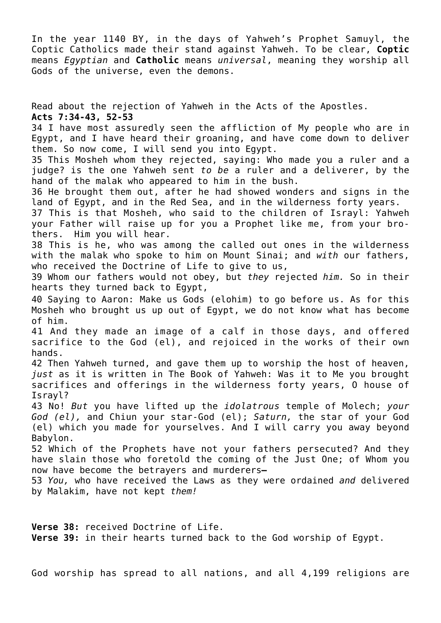In the year 1140 BY, in the days of Yahweh's Prophet Samuyl, the Coptic Catholics made their stand against Yahweh. To be clear, **Coptic** means *Egyptian* and **Catholic** means *universal*, meaning they worship all Gods of the universe, even the demons.

Read about the rejection of Yahweh in the Acts of the Apostles. **Acts 7:34-43, 52-53** 34 I have most assuredly seen the affliction of My people who are in Egypt, and I have heard their groaning, and have come down to deliver them. So now come, I will send you into Egypt. 35 This Mosheh whom they rejected, saying: Who made you a ruler and a judge? is the one Yahweh sent *to be* a ruler and a deliverer, by the hand of the malak who appeared to him in the bush. 36 He brought them out, after he had showed wonders and signs in the land of Egypt, and in the Red Sea, and in the wilderness forty years. 37 This is that Mosheh, who said to the children of Israyl: Yahweh your Father will raise up for you a Prophet like me, from your brothers. Him you will hear. 38 This is he, who was among the called out ones in the wilderness with the malak who spoke to him on Mount Sinai; and *with* our fathers, who received the Doctrine of Life to give to us, 39 Whom our fathers would not obey, but *they* rejected *him.* So in their hearts they turned back to Egypt, 40 Saying to Aaron: Make us Gods (elohim) to go before us. As for this Mosheh who brought us up out of Egypt, we do not know what has become of him. 41 And they made an image of a calf in those days, and offered sacrifice to the God (el), and rejoiced in the works of their own hands. 42 Then Yahweh turned, and gave them up to worship the host of heaven, *just* as it is written in The Book of Yahweh: Was it to Me you brought sacrifices and offerings in the wilderness forty years, O house of Israyl? 43 No! *But* you have lifted up the *idolatrous* temple of Molech; *your God (el),* and Chiun your star-God (el); *Saturn,* the star of your God (el) which you made for yourselves. And I will carry you away beyond Babylon. 52 Which of the Prophets have not your fathers persecuted? And they have slain those who foretold the coming of the Just One; of Whom you now have become the betrayers and murderers**—** 53 *You,* who have received the Laws as they were ordained *and* delivered by Malakim, have not kept *them!*

**Verse 38:** received Doctrine of Life. **Verse 39:** in their hearts turned back to the God worship of Egypt.

God worship has spread to all nations, and all 4,199 religions are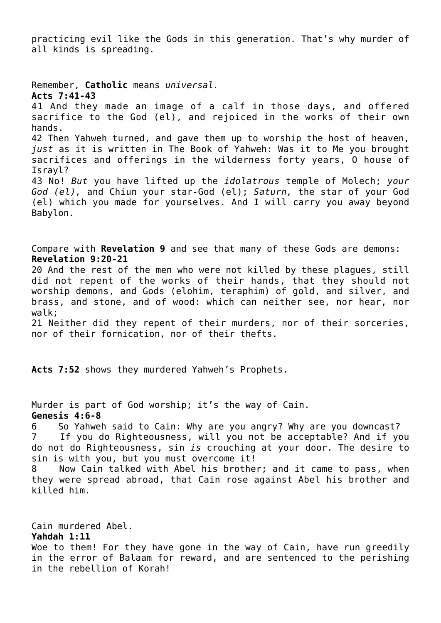practicing evil like the Gods in this generation. That's why murder of all kinds is spreading.

Remember, **Catholic** means *universal.* **Acts 7:41-43** 41 And they made an image of a calf in those days, and offered sacrifice to the God (el), and rejoiced in the works of their own hands. 42 Then Yahweh turned, and gave them up to worship the host of heaven, *just* as it is written in The Book of Yahweh: Was it to Me you brought sacrifices and offerings in the wilderness forty years, O house of Israyl? 43 No! *But* you have lifted up the *idolatrous* temple of Molech; *your God (el),* and Chiun your star-God (el); *Saturn,* the star of your God (el) which you made for yourselves. And I will carry you away beyond Babylon.

Compare with **Revelation 9** and see that many of these Gods are demons: **Revelation 9:20-21**

20 And the rest of the men who were not killed by these plagues, still did not repent of the works of their hands, that they should not worship demons, and Gods (elohim, teraphim) of gold, and silver, and brass, and stone, and of wood: which can neither see, nor hear, nor walk;

21 Neither did they repent of their murders, nor of their sorceries, nor of their fornication, nor of their thefts.

**Acts 7:52** shows they murdered Yahweh's Prophets.

Murder is part of God worship; it's the way of Cain. **Genesis 4:6-8**

6 So Yahweh said to Cain: Why are you angry? Why are you downcast? 7 If you do Righteousness, will you not be acceptable? And if you do not do Righteousness, sin *is* crouching at your door. The desire to sin is with you, but you must overcome it!

8 Now Cain talked with Abel his brother; and it came to pass, when they were spread abroad, that Cain rose against Abel his brother and killed him.

Cain murdered Abel. **Yahdah 1:11** Woe to them! For they have gone in the way of Cain, have run greedily in the error of Balaam for reward, and are sentenced to the perishing in the rebellion of Korah!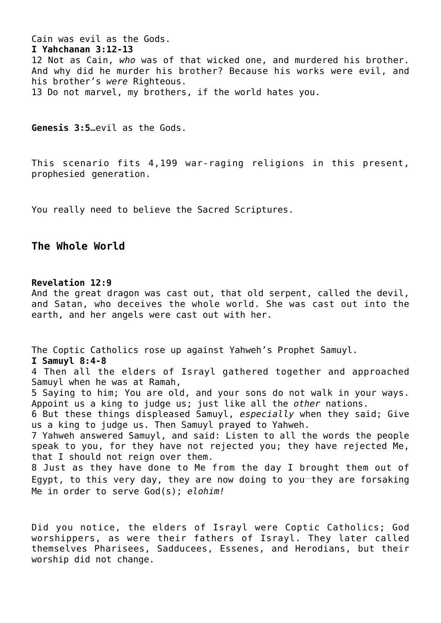Cain was evil as the Gods. **I Yahchanan 3:12-13** 12 Not as Cain, *who* was of that wicked one, and murdered his brother. And why did he murder his brother? Because his works were evil, and his brother's *were* Righteous. 13 Do not marvel, my brothers, if the world hates you.

**Genesis 3:5**…evil as the Gods.

This scenario fits 4,199 war-raging religions in this present, prophesied generation.

You really need to believe the Sacred Scriptures.

## **The Whole World**

#### **Revelation 12:9**

And the great dragon was cast out, that old serpent, called the devil, and Satan, who deceives the whole world. She was cast out into the earth, and her angels were cast out with her.

The Coptic Catholics rose up against Yahweh's Prophet Samuyl. **I Samuyl 8:4-8** 4 Then all the elders of Israyl gathered together and approached Samuyl when he was at Ramah,

5 Saying to him; You are old, and your sons do not walk in your ways. Appoint us a king to judge us; just like all the *other* nations.

6 But these things displeased Samuyl, *especially* when they said; Give us a king to judge us. Then Samuyl prayed to Yahweh.

7 Yahweh answered Samuyl, and said: Listen to all the words the people speak to you, for they have not rejected you; they have rejected Me, that I should not reign over them.

8 Just as they have done to Me from the day I brought them out of Egypt, to this very day, they are now doing to you they are forsaking Me in order to serve God(s); *elohim!*

Did you notice, the elders of Israyl were Coptic Catholics; God worshippers, as were their fathers of Israyl. They later called themselves Pharisees, Sadducees, Essenes, and Herodians, but their worship did not change.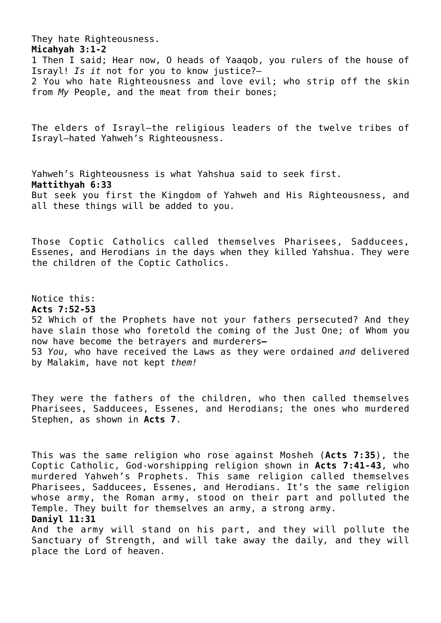They hate Righteousness. **Micahyah 3:1-2** 1 Then I said; Hear now, O heads of Yaaqob, you rulers of the house of Israyl! *Is it* not for you to know justice?— 2 You who hate Righteousness and love evil; who strip off the skin from *My* People, and the meat from their bones;

The elders of Israyl—the religious leaders of the twelve tribes of Israyl—hated Yahweh's Righteousness.

Yahweh's Righteousness is what Yahshua said to seek first. **Mattithyah 6:33** But seek you first the Kingdom of Yahweh and His Righteousness, and all these things will be added to you.

Those Coptic Catholics called themselves Pharisees, Sadducees, Essenes, and Herodians in the days when they killed Yahshua. They were the children of the Coptic Catholics.

Notice this: **Acts 7:52-53** 52 Which of the Prophets have not your fathers persecuted? And they have slain those who foretold the coming of the Just One; of Whom you now have become the betrayers and murderers**—** 53 *You,* who have received the Laws as they were ordained *and* delivered by Malakim, have not kept *them!*

They were the fathers of the children, who then called themselves Pharisees, Sadducees, Essenes, and Herodians; the ones who murdered Stephen, as shown in **Acts 7**.

This was the same religion who rose against Mosheh (**Acts 7:35**), the Coptic Catholic, God-worshipping religion shown in **Acts 7:41-43**, who murdered Yahweh's Prophets. This same religion called themselves Pharisees, Sadducees, Essenes, and Herodians. It's the same religion whose army, the Roman army, stood on their part and polluted the Temple. They built for themselves an army, a strong army. **Daniyl 11:31**

And the army will stand on his part, and they will pollute the Sanctuary of Strength, and will take away the daily*,* and they will place the Lord of heaven.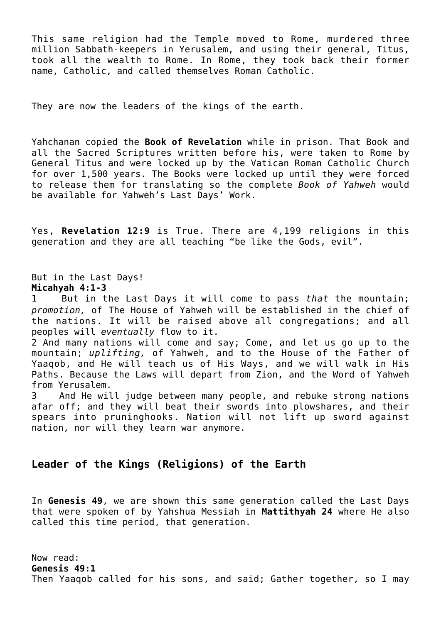This same religion had the Temple moved to Rome, murdered three million Sabbath-keepers in Yerusalem, and using their general, Titus, took all the wealth to Rome. In Rome, they took back their former name, Catholic, and called themselves Roman Catholic.

They are now the leaders of the kings of the earth.

Yahchanan copied the **Book of Revelation** while in prison. That Book and all the Sacred Scriptures written before his, were taken to Rome by General Titus and were locked up by the Vatican Roman Catholic Church for over 1,500 years. The Books were locked up until they were forced to release them for translating so the complete *Book of Yahweh* would be available for Yahweh's Last Days' Work.

Yes, **Revelation 12:9** is True. There are 4,199 religions in this generation and they are all teaching "be like the Gods, evil".

But in the Last Days! **Micahyah 4:1-3**

1 But in the Last Days it will come to pass *that* the mountain; *promotion,* of The House of Yahweh will be established in the chief of the nations. It will be raised above all congregations; and all peoples will *eventually* flow to it.

2 And many nations will come and say; Come, and let us go up to the mountain; *uplifting,* of Yahweh, and to the House of the Father of Yaaqob, and He will teach us of His Ways, and we will walk in His Paths. Because the Laws will depart from Zion, and the Word of Yahweh from Yerusalem.

3 And He will judge between many people, and rebuke strong nations afar off; and they will beat their swords into plowshares, and their spears into pruninghooks. Nation will not lift up sword against nation, nor will they learn war anymore.

## **Leader of the Kings (Religions) of the Earth**

In **Genesis 49**, we are shown this same generation called the Last Days that were spoken of by Yahshua Messiah in **Mattithyah 24** where He also called this time period, that generation.

Now read: **Genesis 49:1** Then Yaaqob called for his sons, and said; Gather together, so I may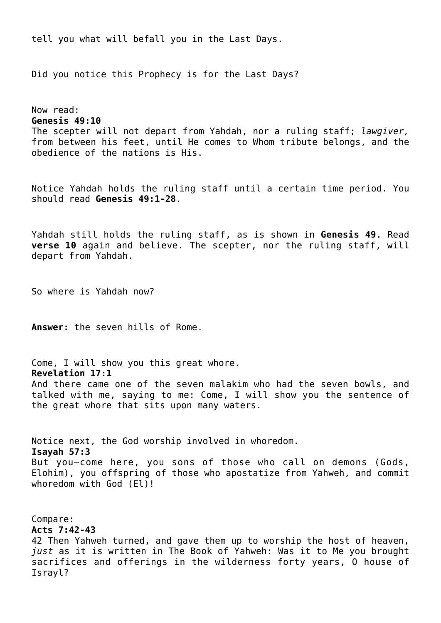tell you what will befall you in the Last Days.

Did you notice this Prophecy is for the Last Days?

Now read: **Genesis 49:10** The scepter will not depart from Yahdah, nor a ruling staff; *lawgiver,* from between his feet, until He comes to Whom tribute belongs, and the obedience of the nations is His.

Notice Yahdah holds the ruling staff until a certain time period. You should read **Genesis 49:1-28**.

Yahdah still holds the ruling staff, as is shown in **Genesis 49**. Read **verse 10** again and believe. The scepter, nor the ruling staff, will depart from Yahdah.

So where is Yahdah now?

**Answer:** the seven hills of Rome.

Come, I will show you this great whore. **Revelation 17:1** And there came one of the seven malakim who had the seven bowls, and talked with me, saying to me: Come, I will show you the sentence of the great whore that sits upon many waters.

Notice next, the God worship involved in whoredom. **Isayah 57:3** But you—come here, you sons of those who call on demons (Gods, Elohim), you offspring of those who apostatize from Yahweh, and commit whoredom with God (El)!

Compare: **Acts 7:42-43** 42 Then Yahweh turned, and gave them up to worship the host of heaven, *just* as it is written in The Book of Yahweh: Was it to Me you brought sacrifices and offerings in the wilderness forty years, O house of Israyl?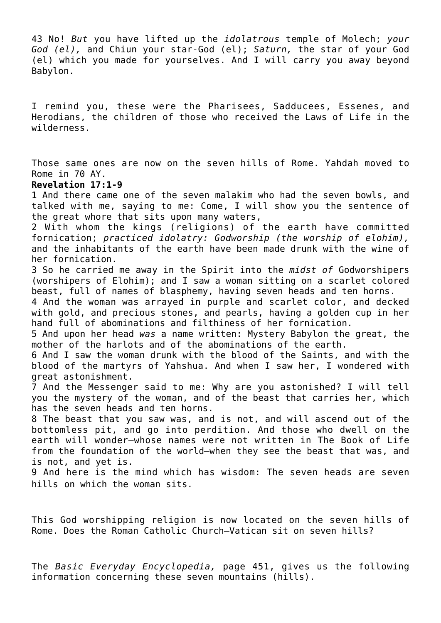43 No! *But* you have lifted up the *idolatrous* temple of Molech; *your God (el),* and Chiun your star-God (el); *Saturn,* the star of your God (el) which you made for yourselves. And I will carry you away beyond Babylon.

I remind you, these were the Pharisees, Sadducees, Essenes, and Herodians, the children of those who received the Laws of Life in the wilderness.

Those same ones are now on the seven hills of Rome. Yahdah moved to Rome in 70 AY.

#### **Revelation 17:1-9**

1 And there came one of the seven malakim who had the seven bowls, and talked with me, saying to me: Come, I will show you the sentence of the great whore that sits upon many waters,

2 With whom the kings (religions) of the earth have committed fornication; *practiced idolatry: Godworship (the worship of elohim),* and the inhabitants of the earth have been made drunk with the wine of her fornication.

3 So he carried me away in the Spirit into the *midst of* Godworshipers (worshipers of Elohim); and I saw a woman sitting on a scarlet colored beast, full of names of blasphemy, having seven heads and ten horns.

4 And the woman was arrayed in purple and scarlet color, and decked with gold, and precious stones, and pearls, having a golden cup in her hand full of abominations and filthiness of her fornication.

5 And upon her head *was* a name written: Mystery Babylon the great, the mother of the harlots and of the abominations of the earth.

6 And I saw the woman drunk with the blood of the Saints, and with the blood of the martyrs of Yahshua. And when I saw her, I wondered with great astonishment.

7 And the Messenger said to me: Why are you astonished? I will tell you the mystery of the woman, and of the beast that carries her, which has the seven heads and ten horns.

8 The beast that you saw was, and is not, and will ascend out of the bottomless pit, and go into perdition. And those who dwell on the earth will wonder—whose names were not written in The Book of Life from the foundation of the world—when they see the beast that was, and is not, and yet is.

9 And here is the mind which has wisdom: The seven heads are seven hills on which the woman sits.

This God worshipping religion is now located on the seven hills of Rome. Does the Roman Catholic Church—Vatican sit on seven hills?

The *Basic Everyday Encyclopedia,* page 451, gives us the following information concerning these seven mountains (hills).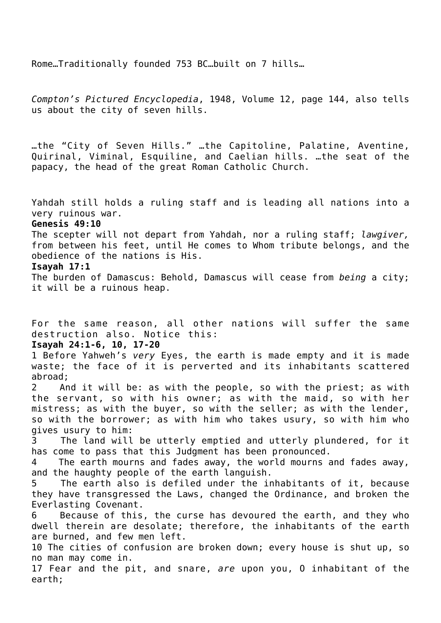Rome…Traditionally founded 753 BC…built on 7 hills…

*Compton's Pictured Encyclopedia*, 1948, Volume 12, page 144, also tells us about the city of seven hills.

…the "City of Seven Hills." …the Capitoline, Palatine, Aventine, Quirinal, Viminal, Esquiline, and Caelian hills. …the seat of the papacy, the head of the great Roman Catholic Church.

Yahdah still holds a ruling staff and is leading all nations into a very ruinous war.

#### **Genesis 49:10**

The scepter will not depart from Yahdah, nor a ruling staff; *lawgiver,* from between his feet, until He comes to Whom tribute belongs, and the obedience of the nations is His.

#### **Isayah 17:1**

The burden of Damascus: Behold, Damascus will cease from *being* a city; it will be a ruinous heap.

For the same reason, all other nations will suffer the same destruction also. Notice this:

## **Isayah 24:1-6, 10, 17-20**

1 Before Yahweh's *very* Eyes, the earth is made empty and it is made waste; the face of it is perverted and its inhabitants scattered abroad;

2 And it will be: as with the people, so with the priest; as with the servant, so with his owner; as with the maid, so with her mistress; as with the buyer, so with the seller; as with the lender, so with the borrower; as with him who takes usury, so with him who gives usury to him:

3 The land will be utterly emptied and utterly plundered, for it has come to pass that this Judgment has been pronounced.

4 The earth mourns and fades away, the world mourns and fades away, and the haughty people of the earth languish.

5 The earth also is defiled under the inhabitants of it, because they have transgressed the Laws, changed the Ordinance, and broken the Everlasting Covenant.

6 Because of this, the curse has devoured the earth, and they who dwell therein are desolate; therefore, the inhabitants of the earth are burned, and few men left.

10 The cities of confusion are broken down; every house is shut up, so no man may come in.

17 Fear and the pit, and snare, *are* upon you, O inhabitant of the earth;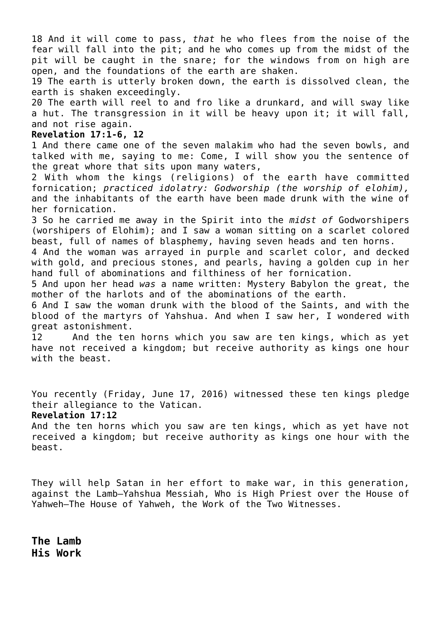18 And it will come to pass, *that* he who flees from the noise of the fear will fall into the pit; and he who comes up from the midst of the pit will be caught in the snare; for the windows from on high are open, and the foundations of the earth are shaken.

19 The earth is utterly broken down, the earth is dissolved clean, the earth is shaken exceedingly.

20 The earth will reel to and fro like a drunkard, and will sway like a hut. The transgression in it will be heavy upon it; it will fall, and not rise again.

## **Revelation 17:1-6, 12**

1 And there came one of the seven malakim who had the seven bowls, and talked with me, saying to me: Come, I will show you the sentence of the great whore that sits upon many waters,

2 With whom the kings (religions) of the earth have committed fornication; *practiced idolatry: Godworship (the worship of elohim),* and the inhabitants of the earth have been made drunk with the wine of her fornication.

3 So he carried me away in the Spirit into the *midst of* Godworshipers (worshipers of Elohim); and I saw a woman sitting on a scarlet colored beast, full of names of blasphemy, having seven heads and ten horns.

4 And the woman was arrayed in purple and scarlet color, and decked with gold, and precious stones, and pearls, having a golden cup in her hand full of abominations and filthiness of her fornication.

5 And upon her head *was* a name written: Mystery Babylon the great, the mother of the harlots and of the abominations of the earth.

6 And I saw the woman drunk with the blood of the Saints, and with the blood of the martyrs of Yahshua. And when I saw her, I wondered with great astonishment.

12 And the ten horns which you saw are ten kings, which as yet have not received a kingdom; but receive authority as kings one hour with the beast.

You recently (Friday, June 17, 2016) witnessed these ten kings pledge their allegiance to the Vatican.

#### **Revelation 17:12**

And the ten horns which you saw are ten kings, which as yet have not received a kingdom; but receive authority as kings one hour with the beast.

They will help Satan in her effort to make war, in this generation, against the Lamb—Yahshua Messiah, Who is High Priest over the House of Yahweh—The House of Yahweh, the Work of the Two Witnesses.

**The Lamb His Work**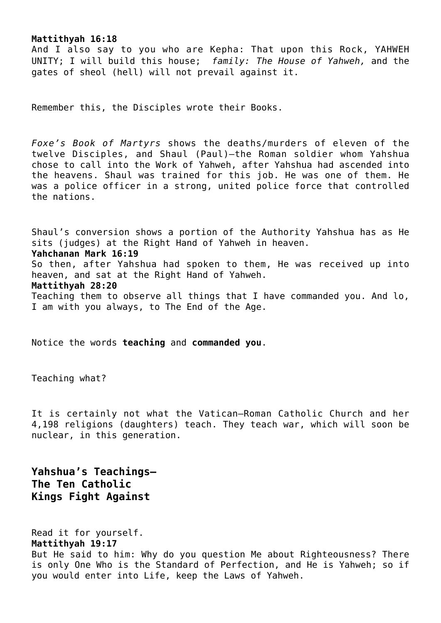#### **Mattithyah 16:18**

And I also say to you who are Kepha: That upon this Rock, YAHWEH UNITY; I will build this house; *family: The House of Yahweh,* and the gates of sheol (hell) will not prevail against it.

Remember this, the Disciples wrote their Books.

*Foxe's Book of Martyrs* shows the deaths/murders of eleven of the twelve Disciples, and Shaul (Paul)—the Roman soldier whom Yahshua chose to call into the Work of Yahweh, after Yahshua had ascended into the heavens. Shaul was trained for this job. He was one of them. He was a police officer in a strong, united police force that controlled the nations.

Shaul's conversion shows a portion of the Authority Yahshua has as He sits (judges) at the Right Hand of Yahweh in heaven. **Yahchanan Mark 16:19** So then, after Yahshua had spoken to them, He was received up into heaven, and sat at the Right Hand of Yahweh. **Mattithyah 28:20** Teaching them to observe all things that I have commanded you. And lo, I am with you always, to The End of the Age.

Notice the words **teaching** and **commanded you**.

Teaching what?

It is certainly not what the Vatican—Roman Catholic Church and her 4,198 religions (daughters) teach. They teach war, which will soon be nuclear, in this generation.

**Yahshua's Teachings— The Ten Catholic Kings Fight Against**

Read it for yourself.

**Mattithyah 19:17**

But He said to him: Why do you question Me about Righteousness? There is only One Who is the Standard of Perfection, and He is Yahweh; so if you would enter into Life, keep the Laws of Yahweh.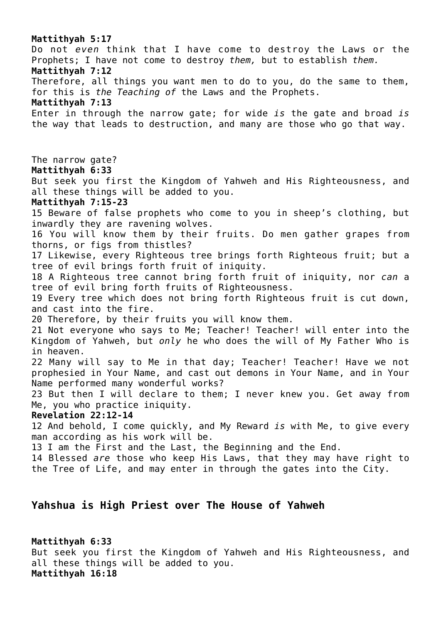**Mattithyah 5:17** Do not *even* think that I have come to destroy the Laws or the Prophets; I have not come to destroy *them,* but to establish *them.* **Mattithyah 7:12** Therefore, all things you want men to do to you, do the same to them, for this is *the Teaching of* the Laws and the Prophets. **Mattithyah 7:13** Enter in through the narrow gate; for wide *is* the gate and broad *is* the way that leads to destruction, and many are those who go that way. The narrow gate? **Mattithyah 6:33** But seek you first the Kingdom of Yahweh and His Righteousness, and all these things will be added to you. **Mattithyah 7:15-23** 15 Beware of false prophets who come to you in sheep's clothing, but inwardly they are ravening wolves. 16 You will know them by their fruits. Do men gather grapes from thorns, or figs from thistles? 17 Likewise, every Righteous tree brings forth Righteous fruit; but a tree of evil brings forth fruit of iniquity. 18 A Righteous tree cannot bring forth fruit of iniquity, nor *can* a tree of evil bring forth fruits of Righteousness. 19 Every tree which does not bring forth Righteous fruit is cut down, and cast into the fire. 20 Therefore, by their fruits you will know them. 21 Not everyone who says to Me; Teacher! Teacher! will enter into the Kingdom of Yahweh, but *only* he who does the will of My Father Who is in heaven. 22 Many will say to Me in that day; Teacher! Teacher! Have we not prophesied in Your Name, and cast out demons in Your Name, and in Your Name performed many wonderful works? 23 But then I will declare to them; I never knew you. Get away from Me, you who practice iniquity. **Revelation 22:12-14** 12 And behold, I come quickly, and My Reward *is* with Me, to give every man according as his work will be. 13 I am the First and the Last, the Beginning and the End. 14 Blessed *are* those who keep His Laws, that they may have right to the Tree of Life, and may enter in through the gates into the City. **Yahshua is High Priest over The House of Yahweh**

**Mattithyah 6:33** But seek you first the Kingdom of Yahweh and His Righteousness, and all these things will be added to you. **Mattithyah 16:18**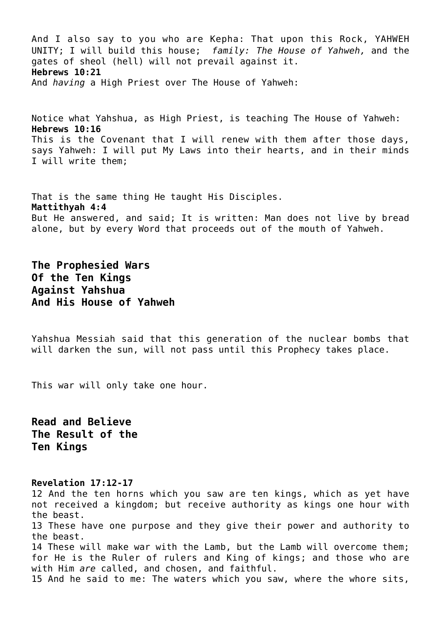And I also say to you who are Kepha: That upon this Rock, YAHWEH UNITY; I will build this house; *family: The House of Yahweh,* and the gates of sheol (hell) will not prevail against it. **Hebrews 10:21** And *having* a High Priest over The House of Yahweh:

Notice what Yahshua, as High Priest, is teaching The House of Yahweh: **Hebrews 10:16** This is the Covenant that I will renew with them after those days, says Yahweh: I will put My Laws into their hearts, and in their minds I will write them;

That is the same thing He taught His Disciples. **Mattithyah 4:4** But He answered, and said; It is written: Man does not live by bread alone, but by every Word that proceeds out of the mouth of Yahweh.

**The Prophesied Wars Of the Ten Kings Against Yahshua And His House of Yahweh**

Yahshua Messiah said that this generation of the nuclear bombs that will darken the sun, will not pass until this Prophecy takes place.

This war will only take one hour.

**Read and Believe The Result of the Ten Kings**

#### **Revelation 17:12-17**

12 And the ten horns which you saw are ten kings, which as yet have not received a kingdom; but receive authority as kings one hour with the beast. 13 These have one purpose and they give their power and authority to the beast. 14 These will make war with the Lamb, but the Lamb will overcome them; for He is the Ruler of rulers and King of kings; and those who are with Him *are* called, and chosen, and faithful. 15 And he said to me: The waters which you saw, where the whore sits,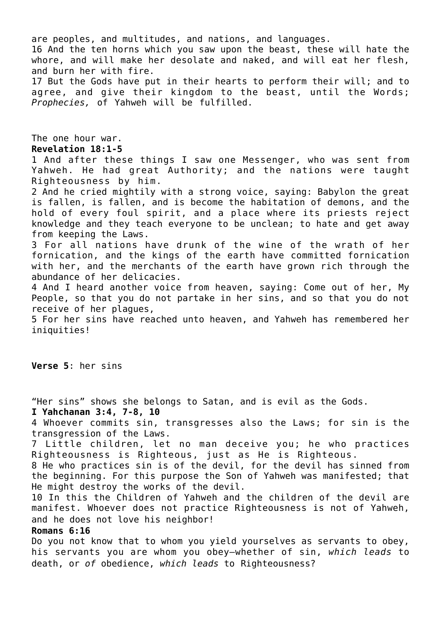are peoples, and multitudes, and nations, and languages.

16 And the ten horns which you saw upon the beast, these will hate the whore, and will make her desolate and naked, and will eat her flesh, and burn her with fire.

17 But the Gods have put in their hearts to perform their will; and to agree, and give their kingdom to the beast, until the Words; *Prophecies,* of Yahweh will be fulfilled.

The one hour war. **Revelation 18:1-5**

1 And after these things I saw one Messenger, who was sent from Yahweh. He had great Authority; and the nations were taught Righteousness by him.

2 And he cried mightily with a strong voice, saying: Babylon the great is fallen, is fallen, and is become the habitation of demons, and the hold of every foul spirit, and a place where its priests reject knowledge and they teach everyone to be unclean; to hate and get away from keeping the Laws.

3 For all nations have drunk of the wine of the wrath of her fornication, and the kings of the earth have committed fornication with her, and the merchants of the earth have grown rich through the abundance of her delicacies.

4 And I heard another voice from heaven, saying: Come out of her, My People, so that you do not partake in her sins, and so that you do not receive of her plagues,

5 For her sins have reached unto heaven, and Yahweh has remembered her iniquities!

**Verse 5**: her sins

"Her sins" shows she belongs to Satan, and is evil as the Gods.

**I Yahchanan 3:4, 7-8, 10**

4 Whoever commits sin, transgresses also the Laws; for sin is the transgression of the Laws.

7 Little children, let no man deceive you; he who practices Righteousness is Righteous, just as He is Righteous.

8 He who practices sin is of the devil, for the devil has sinned from the beginning. For this purpose the Son of Yahweh was manifested; that He might destroy the works of the devil.

10 In this the Children of Yahweh and the children of the devil are manifest. Whoever does not practice Righteousness is not of Yahweh, and he does not love his neighbor!

#### **Romans 6:16**

Do you not know that to whom you yield yourselves as servants to obey, his servants you are whom you obey—whether of sin, *which leads* to death, or *of* obedience, *which leads* to Righteousness?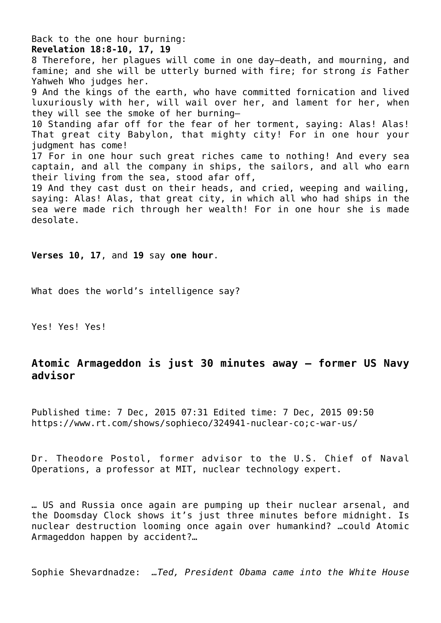Back to the one hour burning: **Revelation 18:8-10, 17, 19** 8 Therefore, her plagues will come in one day—death, and mourning, and famine; and she will be utterly burned with fire; for strong *is* Father Yahweh Who judges her. 9 And the kings of the earth, who have committed fornication and lived luxuriously with her, will wail over her, and lament for her, when they will see the smoke of her burning— 10 Standing afar off for the fear of her torment, saying: Alas! Alas! That great city Babylon, that mighty city! For in one hour your judgment has come! 17 For in one hour such great riches came to nothing! And every sea captain, and all the company in ships, the sailors, and all who earn their living from the sea, stood afar off, 19 And they cast dust on their heads, and cried, weeping and wailing, saying: Alas! Alas, that great city, in which all who had ships in the sea were made rich through her wealth! For in one hour she is made desolate.

**Verses 10, 17**, and **19** say **one hour**.

What does the world's intelligence say?

Yes! Yes! Yes!

## **Atomic Armageddon is just 30 minutes away – former US Navy advisor**

Published time: 7 Dec, 2015 07:31 Edited time: 7 Dec, 2015 09:50 https://www.rt.com/shows/sophieco/324941-nuclear-co;c-war-us/

Dr. Theodore Postol, former advisor to the U.S. Chief of Naval Operations, a professor at MIT, nuclear technology expert.

… US and Russia once again are pumping up their nuclear arsenal, and the Doomsday Clock shows it's just three minutes before midnight. Is nuclear destruction looming once again over humankind? …could Atomic Armageddon happen by accident?…

Sophie Shevardnadze: *…Ted, President Obama came into the White House*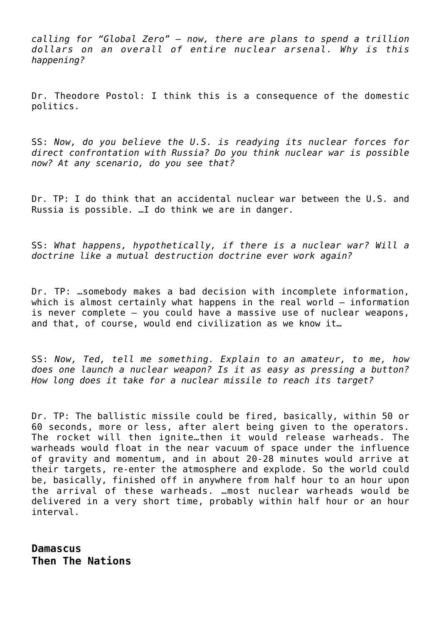*calling for "Global Zero" – now, there are plans to spend a trillion dollars on an overall of entire nuclear arsenal. Why is this happening?*

Dr. Theodore Postol: I think this is a consequence of the domestic politics.

SS: *Now, do you believe the U.S. is readying its nuclear forces for direct confrontation with Russia? Do you think nuclear war is possible now? At any scenario, do you see that?*

Dr. TP: I do think that an accidental nuclear war between the U.S. and Russia is possible. …I do think we are in danger.

SS: *What happens, hypothetically, if there is a nuclear war? Will a doctrine like a mutual destruction doctrine ever work again?*

Dr. TP: …somebody makes a bad decision with incomplete information, which is almost certainly what happens in the real world – information is never complete – you could have a massive use of nuclear weapons, and that, of course, would end civilization as we know it…

SS: *Now, Ted, tell me something. Explain to an amateur, to me, how does one launch a nuclear weapon? Is it as easy as pressing a button? How long does it take for a nuclear missile to reach its target?*

Dr. TP: The ballistic missile could be fired, basically, within 50 or 60 seconds, more or less, after alert being given to the operators. The rocket will then ignite…then it would release warheads. The warheads would float in the near vacuum of space under the influence of gravity and momentum, and in about 20-28 minutes would arrive at their targets, re-enter the atmosphere and explode. So the world could be, basically, finished off in anywhere from half hour to an hour upon the arrival of these warheads. …most nuclear warheads would be delivered in a very short time, probably within half hour or an hour interval.

**Damascus Then The Nations**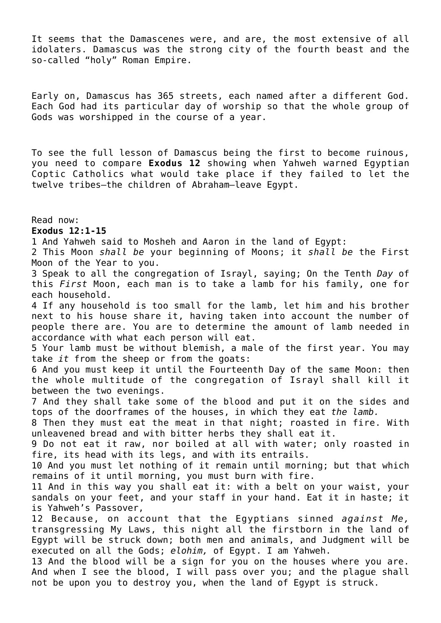It seems that the Damascenes were, and are, the most extensive of all idolaters. Damascus was the strong city of the fourth beast and the so-called "holy" Roman Empire.

Early on, Damascus has 365 streets, each named after a different God. Each God had its particular day of worship so that the whole group of Gods was worshipped in the course of a year.

To see the full lesson of Damascus being the first to become ruinous, you need to compare **Exodus 12** showing when Yahweh warned Egyptian Coptic Catholics what would take place if they failed to let the twelve tribes—the children of Abraham—leave Egypt.

Read now: **Exodus 12:1-15**

1 And Yahweh said to Mosheh and Aaron in the land of Egypt:

2 This Moon *shall be* your beginning of Moons; it *shall be* the First Moon of the Year to you.

3 Speak to all the congregation of Israyl, saying; On the Tenth *Day* of this *First* Moon, each man is to take a lamb for his family, one for each household.

4 If any household is too small for the lamb, let him and his brother next to his house share it, having taken into account the number of people there are. You are to determine the amount of lamb needed in accordance with what each person will eat.

5 Your lamb must be without blemish, a male of the first year. You may take *it* from the sheep or from the goats:

6 And you must keep it until the Fourteenth Day of the same Moon: then the whole multitude of the congregation of Israyl shall kill it between the two evenings.

7 And they shall take some of the blood and put it on the sides and tops of the doorframes of the houses, in which they eat *the lamb.*

8 Then they must eat the meat in that night; roasted in fire. With unleavened bread and with bitter herbs they shall eat it.

9 Do not eat it raw, nor boiled at all with water; only roasted in fire, its head with its legs, and with its entrails.

10 And you must let nothing of it remain until morning; but that which remains of it until morning, you must burn with fire.

11 And in this way you shall eat it: with a belt on your waist, your sandals on your feet, and your staff in your hand. Eat it in haste; it is Yahweh's Passover,

12 Because, on account that the Egyptians sinned *against Me,* transgressing My Laws, this night all the firstborn in the land of Egypt will be struck down; both men and animals, and Judgment will be executed on all the Gods; *elohim,* of Egypt. I am Yahweh.

13 And the blood will be a sign for you on the houses where you are. And when I see the blood, I will pass over you; and the plague shall not be upon you to destroy you, when the land of Egypt is struck.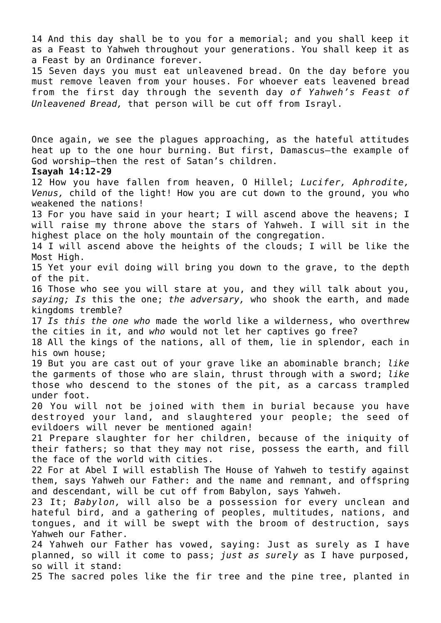14 And this day shall be to you for a memorial; and you shall keep it as a Feast to Yahweh throughout your generations. You shall keep it as a Feast by an Ordinance forever.

15 Seven days you must eat unleavened bread. On the day before you must remove leaven from your houses. For whoever eats leavened bread from the first day through the seventh day *of Yahweh's Feast of Unleavened Bread,* that person will be cut off from Israyl.

Once again, we see the plagues approaching, as the hateful attitudes heat up to the one hour burning. But first, Damascus—the example of God worship—then the rest of Satan's children.

### **Isayah 14:12-29**

12 How you have fallen from heaven, O Hillel; *Lucifer, Aphrodite, Venus,* child of the light! How you are cut down to the ground, you who weakened the nations!

13 For you have said in your heart; I will ascend above the heavens; I will raise my throne above the stars of Yahweh. I will sit in the highest place on the holy mountain of the congregation.

14 I will ascend above the heights of the clouds; I will be like the Most High.

15 Yet your evil doing will bring you down to the grave, to the depth of the pit.

16 Those who see you will stare at you, and they will talk about you, *saying; Is* this the one; *the adversary,* who shook the earth, and made kingdoms tremble?

17 *Is this the one who* made the world like a wilderness, who overthrew the cities in it, and *who* would not let her captives go free?

18 All the kings of the nations, all of them, lie in splendor, each in his own house;

19 But you are cast out of your grave like an abominable branch; *like* the garments of those who are slain, thrust through with a sword; *like* those who descend to the stones of the pit, as a carcass trampled under foot.

20 You will not be joined with them in burial because you have destroyed your land, and slaughtered your people; the seed of evildoers will never be mentioned again!

21 Prepare slaughter for her children, because of the iniquity of their fathers; so that they may not rise, possess the earth, and fill the face of the world with cities.

22 For at Abel I will establish The House of Yahweh to testify against them, says Yahweh our Father: and the name and remnant, and offspring and descendant, will be cut off from Babylon, says Yahweh.

23 It; *Babylon,* will also be a possession for every unclean and hateful bird, and a gathering of peoples, multitudes, nations, and tongues, and it will be swept with the broom of destruction, says Yahweh our Father.

24 Yahweh our Father has vowed, saying: Just as surely as I have planned, so will it come to pass; *just as surely* as I have purposed, so will it stand:

25 The sacred poles like the fir tree and the pine tree, planted in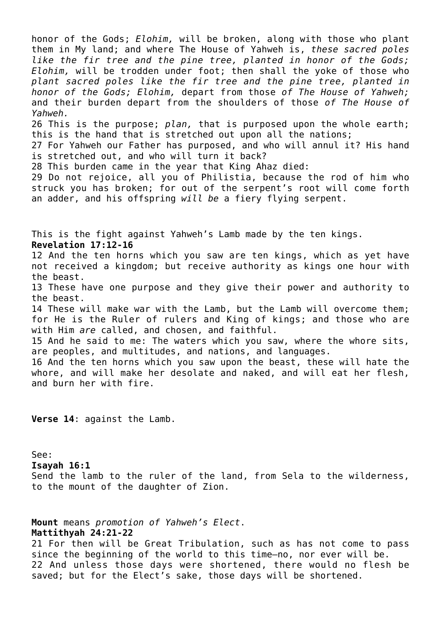honor of the Gods; *Elohim,* will be broken, along with those who plant them in My land; and where The House of Yahweh is, *these sacred poles like the fir tree and the pine tree, planted in honor of the Gods; Elohim,* will be trodden under foot; then shall the yoke of those who *plant sacred poles like the fir tree and the pine tree, planted in honor of the Gods; Elohim,* depart from those *of The House of Yahweh;* and their burden depart from the shoulders of those *of The House of Yahweh.* 26 This is the purpose; *plan,* that is purposed upon the whole earth; this is the hand that is stretched out upon all the nations; 27 For Yahweh our Father has purposed, and who will annul it? His hand is stretched out, and who will turn it back? 28 This burden came in the year that King Ahaz died: 29 Do not rejoice, all you of Philistia, because the rod of him who struck you has broken; for out of the serpent's root will come forth an adder, and his offspring *will be* a fiery flying serpent. This is the fight against Yahweh's Lamb made by the ten kings. **Revelation 17:12-16** 12 And the ten horns which you saw are ten kings, which as yet have not received a kingdom; but receive authority as kings one hour with the beast. 13 These have one purpose and they give their power and authority to the beast. 14 These will make war with the Lamb, but the Lamb will overcome them; for He is the Ruler of rulers and King of kings; and those who are with Him *are* called, and chosen, and faithful. 15 And he said to me: The waters which you saw, where the whore sits, are peoples, and multitudes, and nations, and languages. 16 And the ten horns which you saw upon the beast, these will hate the whore, and will make her desolate and naked, and will eat her flesh, and burn her with fire.

**Verse 14**: against the Lamb.

See:

**Isayah 16:1**

Send the lamb to the ruler of the land, from Sela to the wilderness, to the mount of the daughter of Zion.

**Mount** means *promotion of Yahweh's Elect*.

**Mattithyah 24:21-22**

21 For then will be Great Tribulation, such as has not come to pass since the beginning of the world to this time—no, nor ever will be. 22 And unless those days were shortened, there would no flesh be saved; but for the Elect's sake, those days will be shortened.